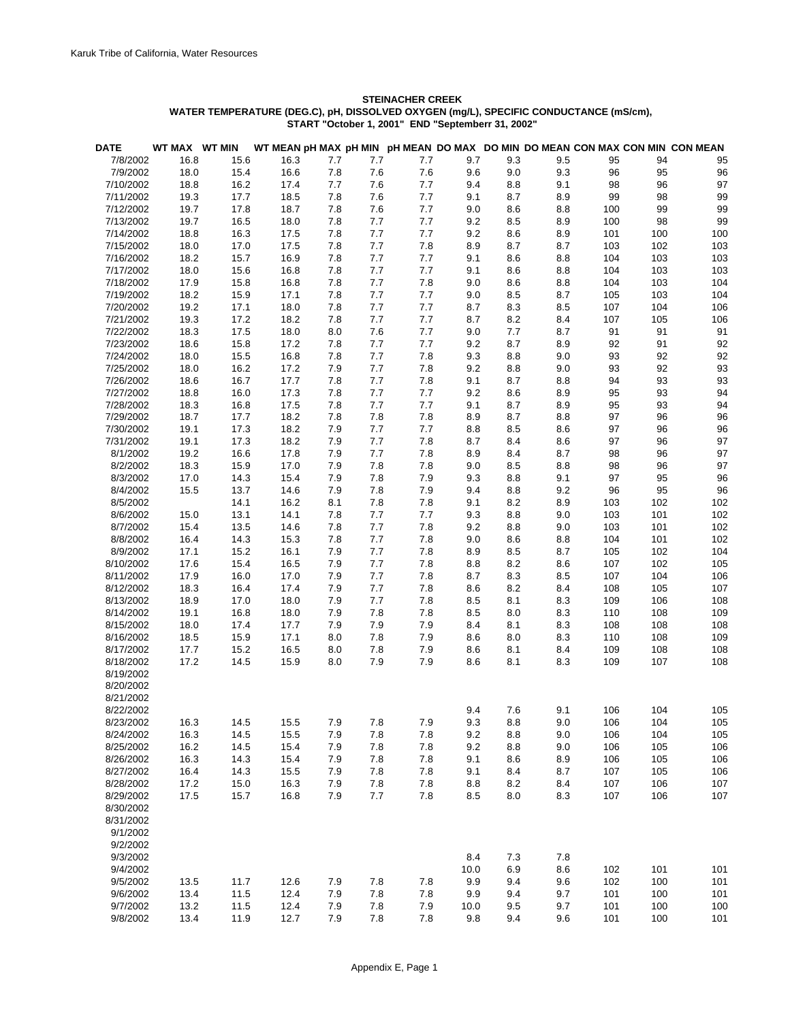## **STEINACHER CREEK WATER TEMPERATURE (DEG.C), pH, DISSOLVED OXYGEN (mg/L), SPECIFIC CONDUCTANCE (mS/cm), START "October 1, 2001" END "Septemberr 31, 2002"**

| DATE      | WT MAX WT MIN |      |      |     |       |       |      |     |     |     |     | WT MEAN pH MAX pH MIN pH MEAN DO MAX DO MIN DO MEAN CON MAX CON MIN CON MEAN |
|-----------|---------------|------|------|-----|-------|-------|------|-----|-----|-----|-----|------------------------------------------------------------------------------|
| 7/8/2002  | 16.8          | 15.6 | 16.3 | 7.7 | 7.7   | 7.7   | 9.7  | 9.3 | 9.5 | 95  | 94  | 95                                                                           |
| 7/9/2002  | 18.0          | 15.4 | 16.6 | 7.8 | 7.6   | 7.6   | 9.6  | 9.0 | 9.3 | 96  | 95  | 96                                                                           |
| 7/10/2002 | 18.8          | 16.2 | 17.4 | 7.7 | 7.6   | 7.7   | 9.4  | 8.8 | 9.1 | 98  | 96  | 97                                                                           |
| 7/11/2002 | 19.3          | 17.7 | 18.5 | 7.8 | 7.6   | 7.7   | 9.1  | 8.7 | 8.9 | 99  | 98  | 99                                                                           |
| 7/12/2002 | 19.7          | 17.8 | 18.7 | 7.8 | 7.6   | 7.7   | 9.0  | 8.6 | 8.8 | 100 | 99  | 99                                                                           |
| 7/13/2002 | 19.7          | 16.5 | 18.0 | 7.8 | 7.7   | 7.7   | 9.2  | 8.5 | 8.9 | 100 | 98  | 99                                                                           |
| 7/14/2002 | 18.8          | 16.3 | 17.5 | 7.8 | 7.7   | 7.7   | 9.2  | 8.6 | 8.9 | 101 | 100 | 100                                                                          |
| 7/15/2002 | 18.0          | 17.0 | 17.5 | 7.8 | 7.7   | 7.8   | 8.9  | 8.7 | 8.7 | 103 | 102 | 103                                                                          |
| 7/16/2002 | 18.2          | 15.7 | 16.9 | 7.8 | 7.7   | 7.7   | 9.1  | 8.6 | 8.8 | 104 | 103 | 103                                                                          |
| 7/17/2002 | 18.0          | 15.6 | 16.8 | 7.8 | 7.7   | 7.7   | 9.1  | 8.6 | 8.8 | 104 | 103 | 103                                                                          |
| 7/18/2002 | 17.9          | 15.8 | 16.8 | 7.8 | 7.7   | 7.8   | 9.0  | 8.6 | 8.8 | 104 | 103 | 104                                                                          |
| 7/19/2002 | 18.2          | 15.9 | 17.1 | 7.8 | 7.7   | 7.7   | 9.0  | 8.5 | 8.7 | 105 | 103 | 104                                                                          |
| 7/20/2002 | 19.2          | 17.1 | 18.0 | 7.8 | 7.7   | 7.7   | 8.7  | 8.3 | 8.5 | 107 | 104 | 106                                                                          |
| 7/21/2002 | 19.3          | 17.2 | 18.2 | 7.8 | 7.7   | 7.7   | 8.7  | 8.2 | 8.4 | 107 | 105 | 106                                                                          |
| 7/22/2002 | 18.3          | 17.5 | 18.0 | 8.0 | 7.6   | 7.7   | 9.0  | 7.7 | 8.7 | 91  | 91  | 91                                                                           |
| 7/23/2002 | 18.6          | 15.8 | 17.2 | 7.8 | 7.7   | 7.7   | 9.2  | 8.7 | 8.9 | 92  | 91  | 92                                                                           |
| 7/24/2002 | 18.0          | 15.5 | 16.8 | 7.8 | 7.7   | 7.8   | 9.3  | 8.8 | 9.0 | 93  | 92  | 92                                                                           |
| 7/25/2002 | 18.0          | 16.2 | 17.2 | 7.9 | 7.7   | 7.8   | 9.2  | 8.8 | 9.0 | 93  | 92  | 93                                                                           |
| 7/26/2002 | 18.6          | 16.7 | 17.7 | 7.8 | 7.7   | 7.8   | 9.1  | 8.7 | 8.8 | 94  | 93  | 93                                                                           |
| 7/27/2002 | 18.8          | 16.0 | 17.3 | 7.8 | 7.7   | 7.7   | 9.2  | 8.6 | 8.9 | 95  | 93  | 94                                                                           |
| 7/28/2002 | 18.3          | 16.8 | 17.5 | 7.8 | 7.7   | 7.7   | 9.1  | 8.7 | 8.9 | 95  | 93  | 94                                                                           |
| 7/29/2002 | 18.7          | 17.7 | 18.2 | 7.8 | 7.8   | 7.8   | 8.9  | 8.7 | 8.8 | 97  | 96  | 96                                                                           |
| 7/30/2002 | 19.1          | 17.3 | 18.2 | 7.9 | 7.7   | 7.7   | 8.8  | 8.5 | 8.6 | 97  | 96  | 96                                                                           |
| 7/31/2002 | 19.1          | 17.3 | 18.2 | 7.9 | 7.7   | 7.8   | 8.7  | 8.4 | 8.6 | 97  | 96  | 97                                                                           |
| 8/1/2002  | 19.2          | 16.6 | 17.8 | 7.9 | 7.7   | 7.8   | 8.9  | 8.4 | 8.7 | 98  | 96  | 97                                                                           |
| 8/2/2002  | 18.3          | 15.9 | 17.0 | 7.9 | 7.8   | 7.8   | 9.0  | 8.5 | 8.8 | 98  | 96  | 97                                                                           |
| 8/3/2002  | 17.0          | 14.3 | 15.4 | 7.9 | 7.8   | 7.9   | 9.3  | 8.8 | 9.1 | 97  | 95  | 96                                                                           |
| 8/4/2002  | 15.5          | 13.7 | 14.6 | 7.9 | 7.8   | 7.9   | 9.4  | 8.8 | 9.2 | 96  | 95  | 96                                                                           |
| 8/5/2002  |               | 14.1 | 16.2 | 8.1 | 7.8   | 7.8   | 9.1  | 8.2 | 8.9 | 103 | 102 | 102                                                                          |
| 8/6/2002  | 15.0          | 13.1 | 14.1 | 7.8 | 7.7   | 7.7   | 9.3  | 8.8 | 9.0 | 103 | 101 | 102                                                                          |
| 8/7/2002  | 15.4          | 13.5 | 14.6 | 7.8 | 7.7   | 7.8   | 9.2  | 8.8 | 9.0 | 103 | 101 | 102                                                                          |
| 8/8/2002  | 16.4          | 14.3 | 15.3 | 7.8 | 7.7   | 7.8   | 9.0  | 8.6 | 8.8 | 104 | 101 | 102                                                                          |
| 8/9/2002  | 17.1          | 15.2 | 16.1 | 7.9 | 7.7   | 7.8   | 8.9  | 8.5 | 8.7 | 105 | 102 | 104                                                                          |
| 8/10/2002 | 17.6          | 15.4 | 16.5 | 7.9 | 7.7   | 7.8   | 8.8  | 8.2 | 8.6 | 107 | 102 | 105                                                                          |
| 8/11/2002 | 17.9          | 16.0 | 17.0 | 7.9 | 7.7   | 7.8   | 8.7  | 8.3 | 8.5 | 107 | 104 | 106                                                                          |
| 8/12/2002 | 18.3          | 16.4 | 17.4 | 7.9 | 7.7   | 7.8   | 8.6  | 8.2 | 8.4 | 108 | 105 | 107                                                                          |
| 8/13/2002 | 18.9          | 17.0 | 18.0 | 7.9 | 7.7   | $7.8$ | 8.5  | 8.1 | 8.3 | 109 | 106 | 108                                                                          |
| 8/14/2002 | 19.1          | 16.8 | 18.0 | 7.9 | 7.8   | 7.8   | 8.5  | 8.0 | 8.3 | 110 | 108 | 109                                                                          |
| 8/15/2002 | 18.0          | 17.4 | 17.7 | 7.9 | 7.9   | 7.9   | 8.4  | 8.1 | 8.3 | 108 | 108 | 108                                                                          |
| 8/16/2002 | 18.5          | 15.9 | 17.1 | 8.0 | 7.8   | 7.9   | 8.6  | 8.0 | 8.3 | 110 | 108 | 109                                                                          |
| 8/17/2002 | 17.7          | 15.2 | 16.5 | 8.0 | 7.8   | 7.9   | 8.6  | 8.1 | 8.4 | 109 | 108 | 108                                                                          |
| 8/18/2002 | 17.2          | 14.5 | 15.9 | 8.0 | 7.9   | 7.9   | 8.6  | 8.1 | 8.3 | 109 | 107 | 108                                                                          |
| 8/19/2002 |               |      |      |     |       |       |      |     |     |     |     |                                                                              |
| 8/20/2002 |               |      |      |     |       |       |      |     |     |     |     |                                                                              |
| 8/21/2002 |               |      |      |     |       |       |      |     |     |     |     |                                                                              |
| 8/22/2002 |               |      |      |     |       |       | 9.4  | 7.6 | 9.1 | 106 | 104 | 105                                                                          |
| 8/23/2002 | 16.3          | 14.5 | 15.5 | 7.9 | 7.8   | 7.9   | 9.3  | 8.8 | 9.0 | 106 | 104 | 105                                                                          |
| 8/24/2002 | 16.3          | 14.5 | 15.5 | 7.9 | 7.8   | 7.8   | 9.2  | 8.8 | 9.0 | 106 | 104 | 105                                                                          |
| 8/25/2002 | 16.2          | 14.5 | 15.4 | 7.9 | 7.8   | $7.8$ | 9.2  | 8.8 | 9.0 | 106 | 105 | 106                                                                          |
| 8/26/2002 | 16.3          | 14.3 | 15.4 | 7.9 | 7.8   | 7.8   | 9.1  | 8.6 | 8.9 | 106 | 105 | 106                                                                          |
| 8/27/2002 | 16.4          | 14.3 | 15.5 | 7.9 | 7.8   | 7.8   | 9.1  | 8.4 | 8.7 | 107 | 105 | 106                                                                          |
| 8/28/2002 | 17.2          | 15.0 | 16.3 | 7.9 | $7.8$ | 7.8   | 8.8  | 8.2 | 8.4 | 107 | 106 | 107                                                                          |
| 8/29/2002 | 17.5          | 15.7 | 16.8 | 7.9 | 7.7   | 7.8   | 8.5  | 8.0 | 8.3 | 107 | 106 | 107                                                                          |
| 8/30/2002 |               |      |      |     |       |       |      |     |     |     |     |                                                                              |
| 8/31/2002 |               |      |      |     |       |       |      |     |     |     |     |                                                                              |
| 9/1/2002  |               |      |      |     |       |       |      |     |     |     |     |                                                                              |
| 9/2/2002  |               |      |      |     |       |       |      |     |     |     |     |                                                                              |
| 9/3/2002  |               |      |      |     |       |       | 8.4  | 7.3 | 7.8 |     |     |                                                                              |
| 9/4/2002  |               |      |      |     |       |       | 10.0 | 6.9 | 8.6 | 102 | 101 | 101                                                                          |
| 9/5/2002  | 13.5          | 11.7 | 12.6 | 7.9 | 7.8   | 7.8   | 9.9  | 9.4 | 9.6 | 102 | 100 | 101                                                                          |
| 9/6/2002  | 13.4          | 11.5 | 12.4 | 7.9 | 7.8   | 7.8   | 9.9  | 9.4 | 9.7 | 101 | 100 | 101                                                                          |
| 9/7/2002  | 13.2          | 11.5 | 12.4 | 7.9 | 7.8   | 7.9   | 10.0 | 9.5 | 9.7 | 101 | 100 | 100                                                                          |
| 9/8/2002  | 13.4          | 11.9 | 12.7 | 7.9 | 7.8   | 7.8   | 9.8  | 9.4 | 9.6 | 101 | 100 | 101                                                                          |